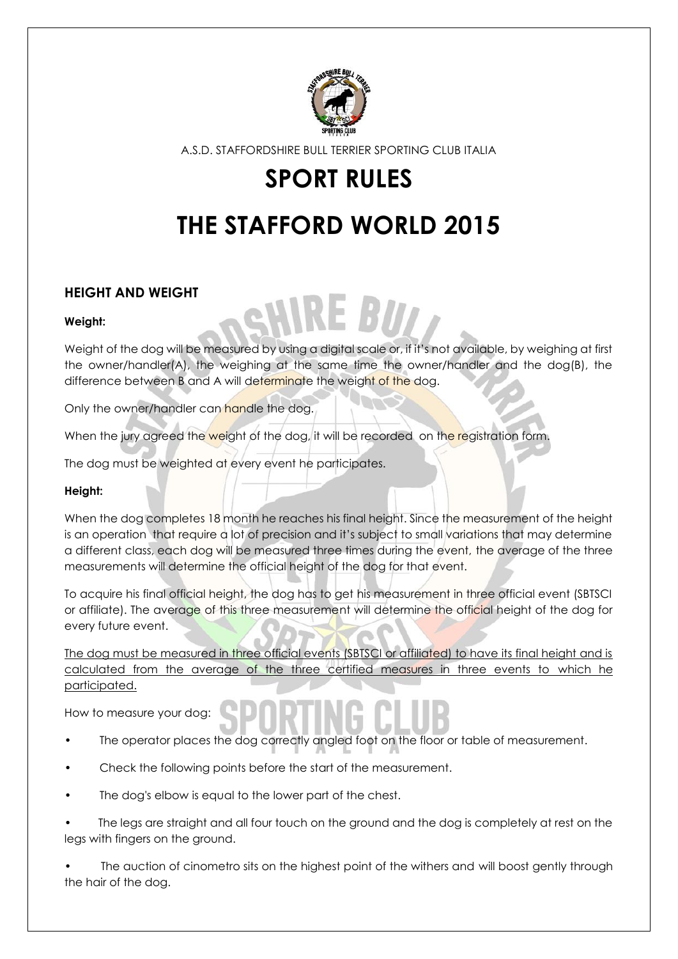

# **SPORT RULES**

# **THE STAFFORD WORLD 2015**

# **HEIGHT AND WEIGHT**

#### **Weight:**

Weight of the dog will be measured by using a digital scale or, if it's not available, by weighing at first the owner/handler(A), the weighing at the same time the owner/handler and the dog(B), the difference between B and A will determinate the weight of the dog.

**REBID** 

Only the owner/handler can handle the dog.

When the jury agreed the weight of the dog, it will be recorded on the registration form.

The dog must be weighted at every event he participates.

#### **Height:**

When the dog completes 18 month he reaches his final height. Since the measurement of the height is an operation that require a lot of precision and it's subject to small variations that may determine a different class, each dog will be measured three times during the event, the average of the three measurements will determine the official height of the dog for that event.

To acquire his final official height, the dog has to get his measurement in three official event (SBTSCI or affiliate). The average of this three measurement will determine the official height of the dog for every future event.

The dog must be measured in three official events (SBTSCI or affiliated) to have its final height and is calculated from the average of the three certified measures in three events to which he participated.

How to measure your dog:

- The operator places the dog correctly angled foot on the floor or table of measurement.
- Check the following points before the start of the measurement.
- The dog's elbow is equal to the lower part of the chest.
- The legs are straight and all four touch on the ground and the dog is completely at rest on the legs with fingers on the ground.

The auction of cinometro sits on the highest point of the withers and will boost gently through the hair of the dog.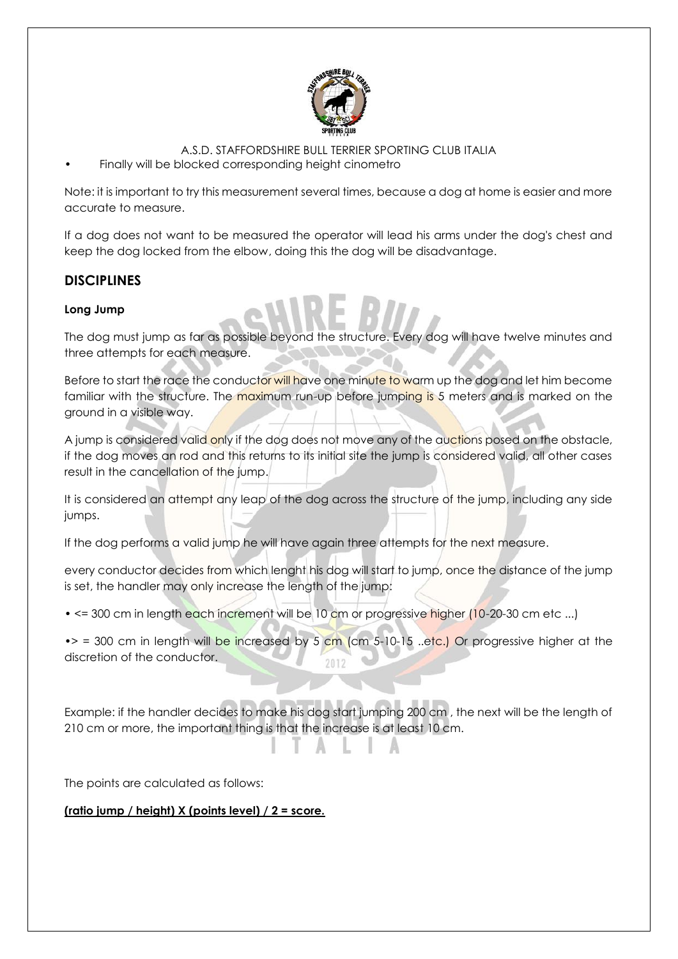

• Finally will be blocked corresponding height cinometro

Note: it is important to try this measurement several times, because a dog at home is easier and more accurate to measure.

If a dog does not want to be measured the operator will lead his arms under the dog's chest and keep the dog locked from the elbow, doing this the dog will be disadvantage.

# **DISCIPLINES**

## **Long Jump**

The dog must jump as far as possible beyond the structure. Every dog will have twelve minutes and three attempts for each measure.

Before to start the race the conductor will have one minute to warm up the dog and let him become familiar with the structure. The maximum run-up before jumping is 5 meters and is marked on the ground in a visible way.

A jump is considered valid only if the dog does not move any of the auctions posed on the obstacle, if the dog moves an rod and this returns to its initial site the jump is considered valid, all other cases result in the cancellation of the jump.

It is considered an attempt any leap of the dog across the structure of the jump, including any side jumps.

If the dog performs a valid jump he will have again three attempts for the next measure.

every conductor decides from which lenght his dog will start to jump, once the distance of the jump is set, the handler may only increase the length of the jump:

• <= 300 cm in length each increment will be 10 cm or progressive higher (10-20-30 cm etc ...)

 $\bullet$  > = 300 cm in length will be increased by 5 cm (cm 5-10-15 ..etc.) Or progressive higher at the discretion of the conductor. 2012

Example: if the handler decides to make his dog start jumping 200 cm , the next will be the length of 210 cm or more, the important thing is that the increase is at least 10 cm.

The points are calculated as follows:

**(ratio jump / height) X (points level) / 2 = score.**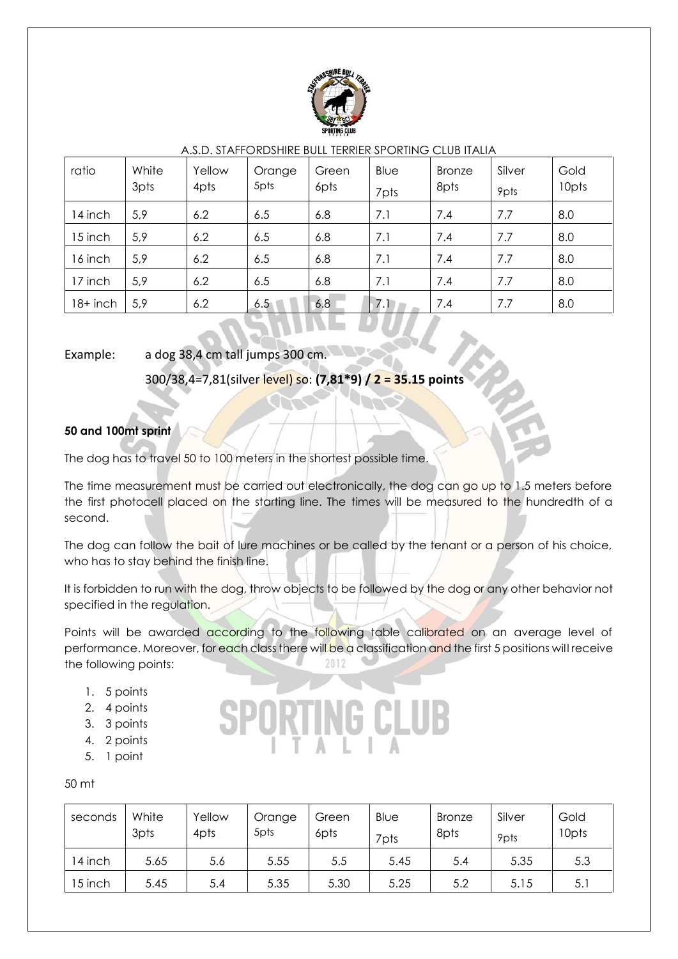

| ratio    | White<br>3pts | Yellow<br>4pts | Orange<br>5pts | Green<br>6pts | Blue<br>7pts | <b>Bronze</b><br>8pts | Silver<br>9pts | Gold<br>10pts |
|----------|---------------|----------------|----------------|---------------|--------------|-----------------------|----------------|---------------|
| 14 inch  | 5,9           | 6.2            | 6.5            | 6.8           | 7.1          | 7.4                   | 7.7            | 8.0           |
| 15 inch  | 5,9           | 6.2            | 6.5            | 6.8           | 7.1          | 7.4                   | 7.7            | 8.0           |
| 16 inch  | 5,9           | 6.2            | 6.5            | 6.8           | 7.1          | 7.4                   | 7.7            | 8.0           |
| 17 inch  | 5,9           | 6.2            | 6.5            | 6.8           | 7.1          | 7.4                   | 7.7            | 8.0           |
| 18+ inch | 5,9           | 6.2            | 6.5            | 6.8           | 7.1          | 7.4                   | 7.7            | 8.0           |

### Example: a dog 38,4 cm tall jumps 300 cm.

300/38,4=7,81(silver level) so: **(7,81\*9) / 2 = 35.15 points**

# **50 and 100mt sprint**

The dog has to travel 50 to 100 meters in the shortest possible time.

The time measurement must be carried out electronically, the dog can go up to 1.5 meters before the first photocell placed on the starting line. The times will be measured to the hundredth of a second.

The dog can follow the bait of lure machines or be called by the tenant or a person of his choice, who has to stay behind the finish line.

It is forbidden to run with the dog, throw objects to be followed by the dog or any other behavior not specified in the regulation.

Points will be awarded according to the following table calibrated on an average level of performance. Moreover, for each class there will be a classification and the first 5 positions will receive the following points: 2012

- 1. 5 points
- 2. 4 points
- 3. 3 points
- 4. 2 points
- 5. 1 point

50 mt

| seconds | White<br>3pts | Yellow<br>4pts | Orange<br>5pts | Green<br>6pts | Blue<br>7pts | <b>Bronze</b><br>8pts | Silver<br>9pts | Gold<br>10pts |
|---------|---------------|----------------|----------------|---------------|--------------|-----------------------|----------------|---------------|
| 14 inch | 5.65          | 5.6            | 5.55           | 5.5           | 5.45         | 5.4                   | 5.35           | 5.3           |
| 15 inch | 5.45          | 5.4            | 5.35           | 5.30          | 5.25         | 5.2                   | 5.15           | 5.1           |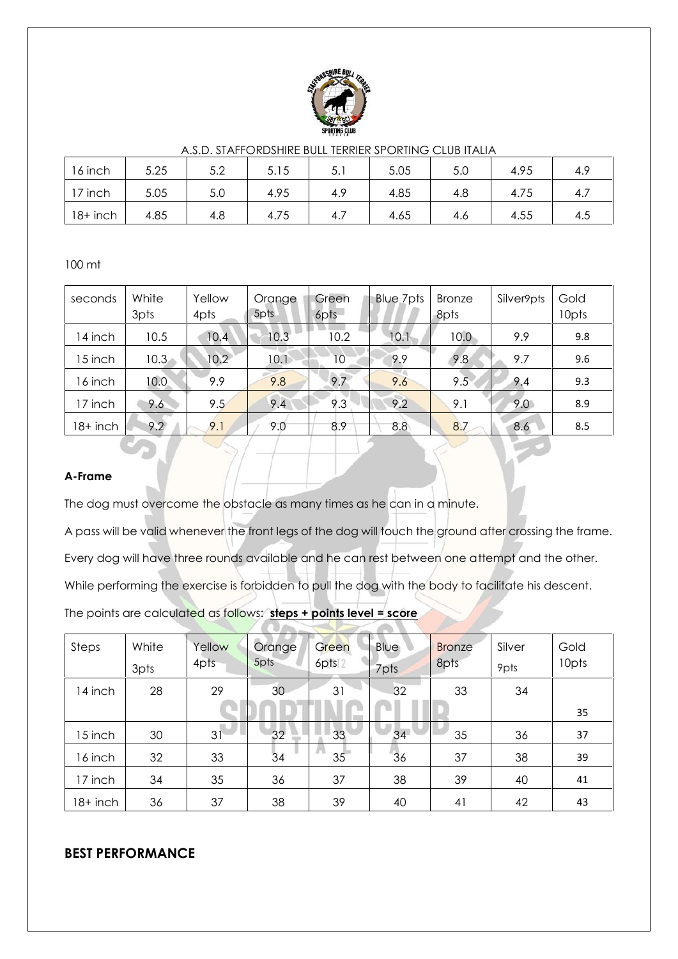

| 16 inch    | 5.25 | 5つ<br>J.Z | 5.15 | 5<br>◡. | 5.05 | 5.0 | 4.95 | 4.9 |
|------------|------|-----------|------|---------|------|-----|------|-----|
| 17 inch    | 5.05 | 5.0       | 4.95 | 4.9     | 4.85 | 4.8 | 4.75 |     |
| $18+$ inch | 4.85 | 4.8       | 4.75 | 4.7     | 4.65 | 4.6 | 4.55 | 4.5 |

100 mt

| seconds  | White<br>3pts | Yellow<br>4pts | Orange<br>5pts | Green<br>6pts | Blue 7pts | <b>Bronze</b><br>8pts | Silver9pts | Gold<br>10pts |
|----------|---------------|----------------|----------------|---------------|-----------|-----------------------|------------|---------------|
| 14 inch  | 10.5          | 10.4           | 10.3           | 10.2          | 10.1      | 10.0                  | 9.9        | 9.8           |
| 15 inch  | 10.3          | 10.2           | 10.1           | 10            | 9.9       | 9.8                   | 9.7        | 9.6           |
| 16 inch  | 10.0          | 9.9            | 9.8            | 9.7           | 9.6       | 9.5                   | 9.4        | 9.3           |
| 17 inch  | 9.6           | 9.5            | 9.4            | 9.3           | 9.2       | 9.1                   | 9.0        | 8.9           |
| 18+ inch | 9.2           | 9.1            | 9.0            | 8.9           | 8.8       | 8.7                   | 8.6        | 8.5           |

#### **A-Frame**

The dog must overcome the obstacle as many times as he can in a minute.

A pass will be valid whenever the front legs of the dog will touch the ground after crossing the frame. Every dog will have three rounds available and he can rest between one attempt and the other. While performing the exercise is forbidden to pull the dog with the body to facilitate his descent. The points are calculated as follows: **steps + points level = score**

| Steps    | White<br>3pts | Yellow<br>4pts | Orange<br>5pts | Green<br>6pts <sup>2</sup> | Blue<br>7pts | <b>Bronze</b><br>8pts | Silver<br>9pts | Gold<br>10pts |
|----------|---------------|----------------|----------------|----------------------------|--------------|-----------------------|----------------|---------------|
| 14 inch  | 28            | 29             | 30             | 31                         | 32           | 33                    | 34             |               |
|          |               |                |                |                            |              |                       |                | 35            |
| 15 inch  | 30            | 31             | 32             | 33                         | 34           | 35                    | 36             | 37            |
| 16 inch  | 32            | 33             | 34             | 35 <sup>2</sup>            | 36           | 37                    | 38             | 39            |
| 17 inch  | 34            | 35             | 36             | 37                         | 38           | 39                    | 40             | 41            |
| 18+ inch | 36            | 37             | 38             | 39                         | 40           | 41                    | 42             | 43            |

# **BEST PERFORMANCE**